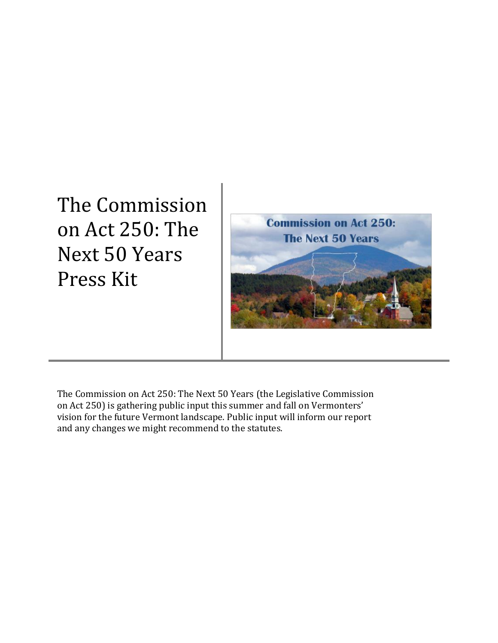The Commission on Act 250: The Next 50 Years Press Kit



The Commission on Act 250: The Next 50 Years (the Legislative Commission on Act 250) is gathering public input this summer and fall on Vermonters' vision for the future Vermont landscape. Public input will inform our report and any changes we might recommend to the statutes.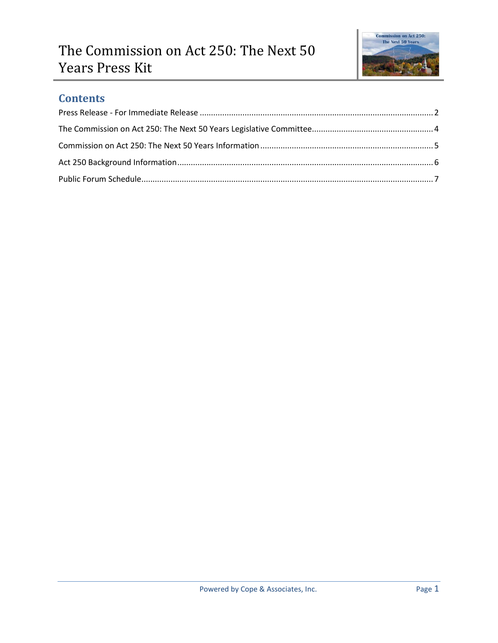

### **Contents**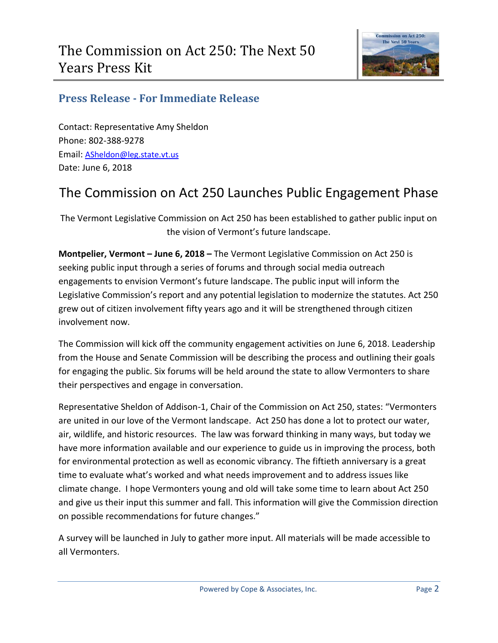

### <span id="page-2-0"></span>**Press Release - For Immediate Release**

Contact: Representative Amy Sheldon Phone: 802-388-9278 Email: [ASheldon@leg.state.vt.us](mailto:ASheldon@leg.state.vt.us) Date: June 6, 2018

# The Commission on Act 250 Launches Public Engagement Phase

The Vermont Legislative Commission on Act 250 has been established to gather public input on the vision of Vermont's future landscape.

**Montpelier, Vermont – June 6, 2018 –** The Vermont Legislative Commission on Act 250 is seeking public input through a series of forums and through social media outreach engagements to envision Vermont's future landscape. The public input will inform the Legislative Commission's report and any potential legislation to modernize the statutes. Act 250 grew out of citizen involvement fifty years ago and it will be strengthened through citizen involvement now.

The Commission will kick off the community engagement activities on June 6, 2018. Leadership from the House and Senate Commission will be describing the process and outlining their goals for engaging the public. Six forums will be held around the state to allow Vermonters to share their perspectives and engage in conversation.

Representative Sheldon of Addison-1, Chair of the Commission on Act 250, states: "Vermonters are united in our love of the Vermont landscape. Act 250 has done a lot to protect our water, air, wildlife, and historic resources. The law was forward thinking in many ways, but today we have more information available and our experience to guide us in improving the process, both for environmental protection as well as economic vibrancy. The fiftieth anniversary is a great time to evaluate what's worked and what needs improvement and to address issues like climate change. I hope Vermonters young and old will take some time to learn about Act 250 and give us their input this summer and fall. This information will give the Commission direction on possible recommendations for future changes."

A survey will be launched in July to gather more input. All materials will be made accessible to all Vermonters.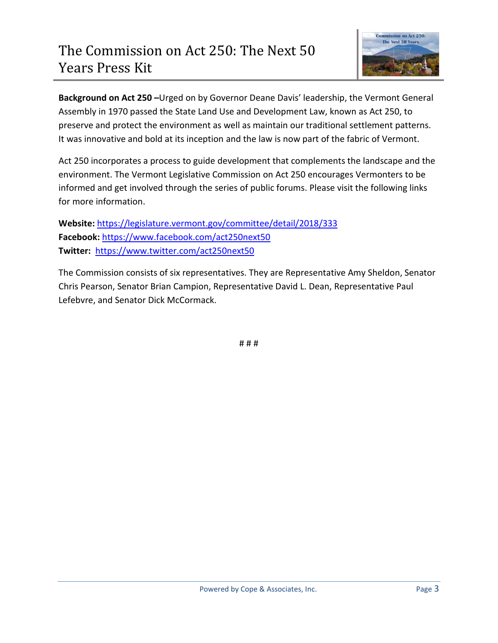

**Background on Act 250 –**Urged on by Governor Deane Davis' leadership, the Vermont General Assembly in 1970 passed the State Land Use and Development Law, known as Act 250, to preserve and protect the environment as well as maintain our traditional settlement patterns. It was innovative and bold at its inception and the law is now part of the fabric of Vermont.

Act 250 incorporates a process to guide development that complements the landscape and the environment. The Vermont Legislative Commission on Act 250 encourages Vermonters to be informed and get involved through the series of public forums. Please visit the following links for more information.

**Website:** <https://legislature.vermont.gov/committee/detail/2018/333> **Facebook:** <https://www.facebook.com/act250next50> **Twitter:** <https://www.twitter.com/act250next50>

The Commission consists of six representatives. They are Representative Amy Sheldon, Senator Chris Pearson, Senator Brian Campion, Representative David L. Dean, Representative Paul Lefebvre, and Senator Dick McCormack.

# # #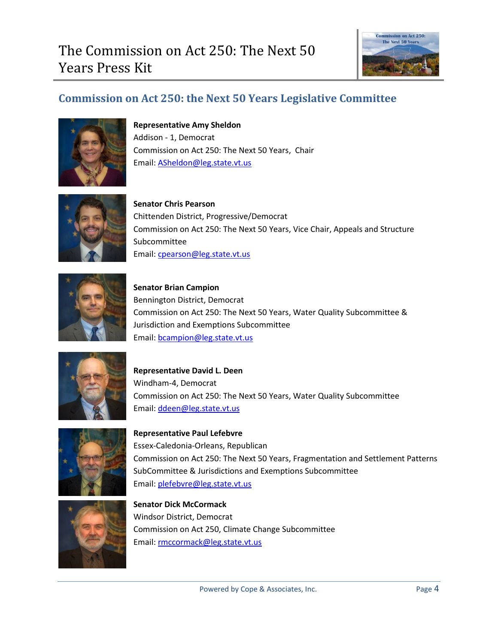

# <span id="page-4-0"></span>**Commission on Act 250: the Next 50 Years Legislative Committee**



**Representative Amy Sheldon** Addison - 1, Democrat Commission on Act 250: The Next 50 Years, Chair Email: [ASheldon@leg.state.vt.us](mailto:ASheldon@leg.state.vt.us)



**Senator Chris Pearson** Chittenden District, Progressive/Democrat Commission on Act 250: The Next 50 Years, Vice Chair, Appeals and Structure Subcommittee Email: [cpearson@leg.state.vt.us](mailto:cpearson@leg.state.vt.us) 



**Senator Brian Campion** Bennington District, Democrat Commission on Act 250: The Next 50 Years, Water Quality Subcommittee & Jurisdiction and Exemptions Subcommittee Email: [bcampion@leg.state.vt.us](mailto:bcampion@leg.state.vt.us)



**Representative David L. Deen** Windham-4, Democrat Commission on Act 250: The Next 50 Years, Water Quality Subcommittee Email: [ddeen@leg.state.vt.us](mailto:ddeen@leg.state.vt.us)



**Representative Paul Lefebvre** Essex-Caledonia-Orleans, Republican Commission on Act 250: The Next 50 Years, Fragmentation and Settlement Patterns SubCommittee & Jurisdictions and Exemptions Subcommittee Email: [plefebvre@leg.state.vt.us](mailto:plefebvre@leg.state.vt.us)



**Senator Dick McCormack** Windsor District, Democrat Commission on Act 250, Climate Change Subcommittee Email: [rmccormack@leg.state.vt.us](mailto:rmccormack@leg.state.vt.us)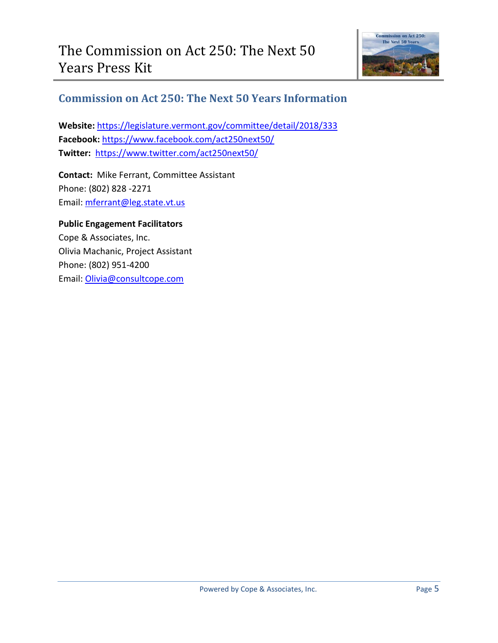

### <span id="page-5-0"></span>**Commission on Act 250: The Next 50 Years Information**

**Website:** <https://legislature.vermont.gov/committee/detail/2018/333> **Facebook:** <https://www.facebook.com/act250next50/> **Twitter:** <https://www.twitter.com/act250next50/>

**Contact:** Mike Ferrant, Committee Assistant Phone: (802) 828 -2271 Email: [mferrant@leg.state.vt.us](mailto:mferrant@leg.state.vt.us)

#### **Public Engagement Facilitators**

Cope & Associates, Inc. Olivia Machanic, Project Assistant Phone: (802) 951-4200 Email: [Olivia@consultcope.com](mailto:Olivia@consultcope.com)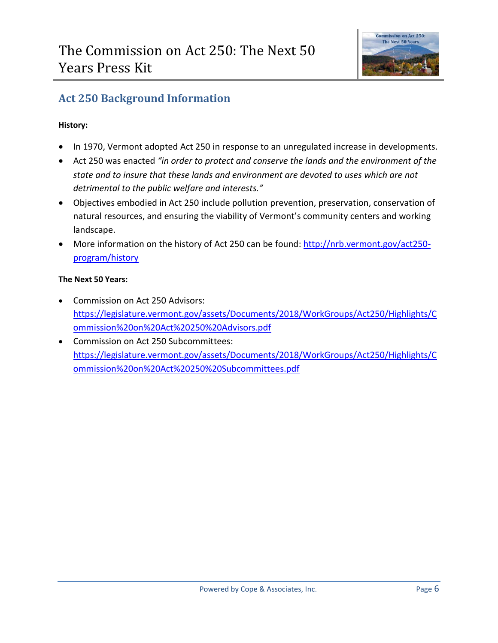

# <span id="page-6-0"></span>**Act 250 Background Information**

#### **History:**

- In 1970, Vermont adopted Act 250 in response to an unregulated increase in developments.
- Act 250 was enacted *"in order to protect and conserve the lands and the environment of the state and to insure that these lands and environment are devoted to uses which are not detrimental to the public welfare and interests."*
- Objectives embodied in Act 250 include pollution prevention, preservation, conservation of natural resources, and ensuring the viability of Vermont's community centers and working landscape.
- More information on the history of Act 250 can be found: [http://nrb.vermont.gov/act250](http://nrb.vermont.gov/act250-program/history) [program/history](http://nrb.vermont.gov/act250-program/history)

#### **The Next 50 Years:**

- Commission on Act 250 Advisors: [https://legislature.vermont.gov/assets/Documents/2018/WorkGroups/Act250/Highlights/C](https://legislature.vermont.gov/assets/Documents/2018/WorkGroups/Act250/Highlights/Commission%20on%20Act%20250%20Advisors.pdf) [ommission%20on%20Act%20250%20Advisors.pdf](https://legislature.vermont.gov/assets/Documents/2018/WorkGroups/Act250/Highlights/Commission%20on%20Act%20250%20Advisors.pdf)
- Commission on Act 250 Subcommittees: [https://legislature.vermont.gov/assets/Documents/2018/WorkGroups/Act250/Highlights/C](https://legislature.vermont.gov/assets/Documents/2018/WorkGroups/Act250/Highlights/Commission%20on%20Act%20250%20Subcommittees.pdf) [ommission%20on%20Act%20250%20Subcommittees.pdf](https://legislature.vermont.gov/assets/Documents/2018/WorkGroups/Act250/Highlights/Commission%20on%20Act%20250%20Subcommittees.pdf)